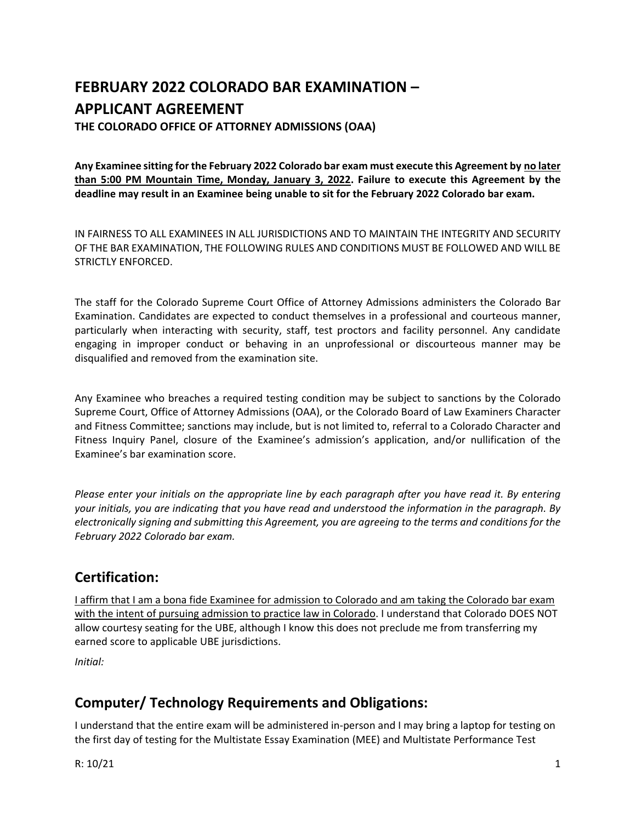# **FEBRUARY 2022 COLORADO BAR EXAMINATION – APPLICANT AGREEMENT**

**THE COLORADO OFFICE OF ATTORNEY ADMISSIONS (OAA)**

**Any Examinee sitting for the February 2022 Colorado bar exam must execute this Agreement by no later than 5:00 PM Mountain Time, Monday, January 3, 2022. Failure to execute this Agreement by the deadline may result in an Examinee being unable to sit for the February 2022 Colorado bar exam.** 

IN FAIRNESS TO ALL EXAMINEES IN ALL JURISDICTIONS AND TO MAINTAIN THE INTEGRITY AND SECURITY OF THE BAR EXAMINATION, THE FOLLOWING RULES AND CONDITIONS MUST BE FOLLOWED AND WILL BE STRICTLY ENFORCED.

The staff for the Colorado Supreme Court Office of Attorney Admissions administers the Colorado Bar Examination. Candidates are expected to conduct themselves in a professional and courteous manner, particularly when interacting with security, staff, test proctors and facility personnel. Any candidate engaging in improper conduct or behaving in an unprofessional or discourteous manner may be disqualified and removed from the examination site.

Any Examinee who breaches a required testing condition may be subject to sanctions by the Colorado Supreme Court, Office of Attorney Admissions (OAA), or the Colorado Board of Law Examiners Character and Fitness Committee; sanctions may include, but is not limited to, referral to a Colorado Character and Fitness Inquiry Panel, closure of the Examinee's admission's application, and/or nullification of the Examinee's bar examination score.

*Please enter your initials on the appropriate line by each paragraph after you have read it. By entering your initials, you are indicating that you have read and understood the information in the paragraph. By electronically signing and submitting this Agreement, you are agreeing to the terms and conditions for the February 2022 Colorado bar exam.*

# **Certification:**

I affirm that I am a bona fide Examinee for admission to Colorado and am taking the Colorado bar exam with the intent of pursuing admission to practice law in Colorado. I understand that Colorado DOES NOT allow courtesy seating for the UBE, although I know this does not preclude me from transferring my earned score to applicable UBE jurisdictions.

*Initial:* 

# **Computer/ Technology Requirements and Obligations:**

I understand that the entire exam will be administered in‐person and I may bring a laptop for testing on the first day of testing for the Multistate Essay Examination (MEE) and Multistate Performance Test

R:  $10/21$  1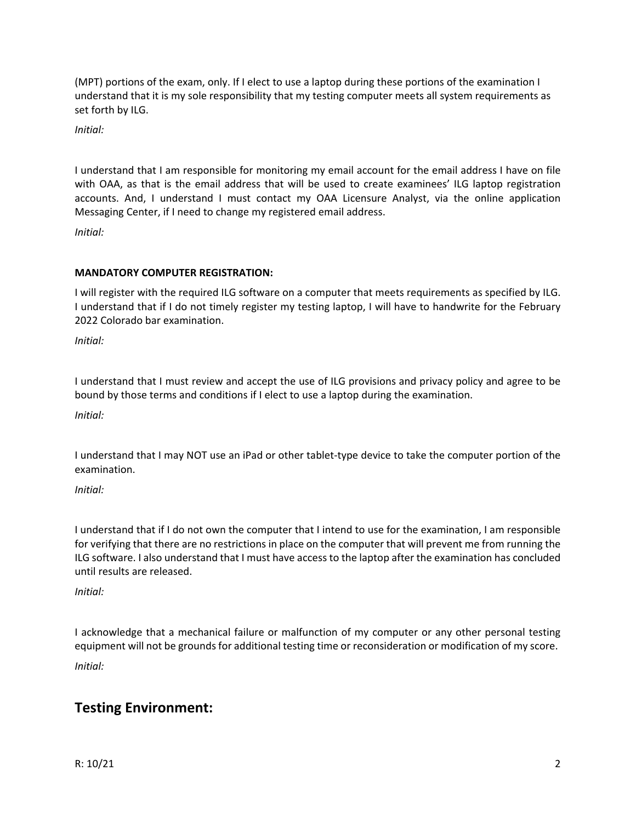(MPT) portions of the exam, only. If I elect to use a laptop during these portions of the examination I understand that it is my sole responsibility that my testing computer meets all system requirements as set forth by ILG.

*Initial:* 

I understand that I am responsible for monitoring my email account for the email address I have on file with OAA, as that is the email address that will be used to create examinees' ILG laptop registration accounts. And, I understand I must contact my OAA Licensure Analyst, via the online application Messaging Center, if I need to change my registered email address.

*Initial:* 

### **MANDATORY COMPUTER REGISTRATION:**

I will register with the required ILG software on a computer that meets requirements as specified by ILG. I understand that if I do not timely register my testing laptop, I will have to handwrite for the February 2022 Colorado bar examination.

*Initial:* 

I understand that I must review and accept the use of ILG provisions and privacy policy and agree to be bound by those terms and conditions if I elect to use a laptop during the examination.

*Initial:* 

I understand that I may NOT use an iPad or other tablet‐type device to take the computer portion of the examination.

*Initial:* 

I understand that if I do not own the computer that I intend to use for the examination, I am responsible for verifying that there are no restrictions in place on the computer that will prevent me from running the ILG software. I also understand that I must have access to the laptop after the examination has concluded until results are released.

*Initial:* 

I acknowledge that a mechanical failure or malfunction of my computer or any other personal testing equipment will not be grounds for additional testing time or reconsideration or modification of my score. *Initial:* 

## **Testing Environment:**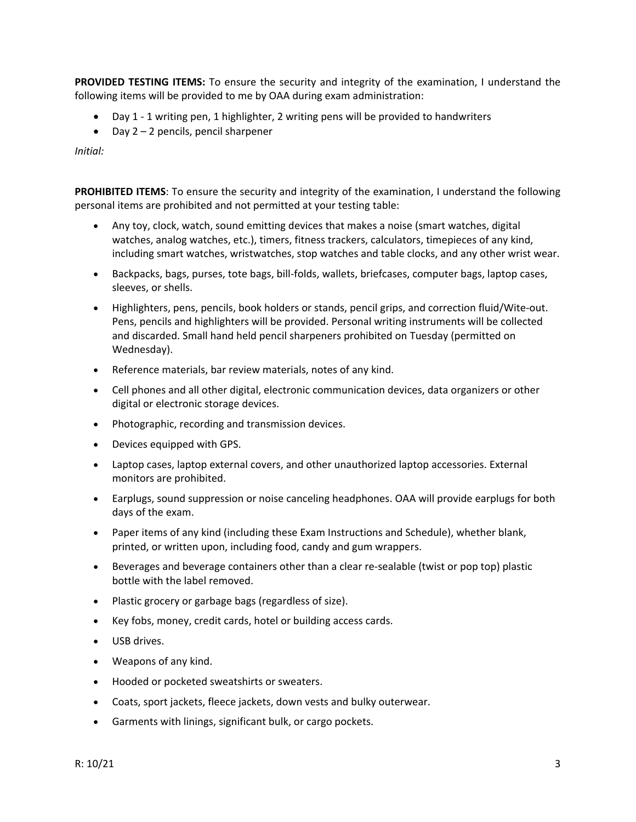**PROVIDED TESTING ITEMS:** To ensure the security and integrity of the examination, I understand the following items will be provided to me by OAA during exam administration:

- Day 1 1 writing pen, 1 highlighter, 2 writing pens will be provided to handwriters
- $\bullet$  Day 2 2 pencils, pencil sharpener

*Initial:* 

**PROHIBITED ITEMS**: To ensure the security and integrity of the examination, I understand the following personal items are prohibited and not permitted at your testing table:

- Any toy, clock, watch, sound emitting devices that makes a noise (smart watches, digital watches, analog watches, etc.), timers, fitness trackers, calculators, timepieces of any kind, including smart watches, wristwatches, stop watches and table clocks, and any other wrist wear.
- Backpacks, bags, purses, tote bags, bill-folds, wallets, briefcases, computer bags, laptop cases, sleeves, or shells.
- Highlighters, pens, pencils, book holders or stands, pencil grips, and correction fluid/Wite-out. Pens, pencils and highlighters will be provided. Personal writing instruments will be collected and discarded. Small hand held pencil sharpeners prohibited on Tuesday (permitted on Wednesday).
- Reference materials, bar review materials, notes of any kind.
- Cell phones and all other digital, electronic communication devices, data organizers or other digital or electronic storage devices.
- Photographic, recording and transmission devices.
- Devices equipped with GPS.
- Laptop cases, laptop external covers, and other unauthorized laptop accessories. External monitors are prohibited.
- Earplugs, sound suppression or noise canceling headphones. OAA will provide earplugs for both days of the exam.
- Paper items of any kind (including these Exam Instructions and Schedule), whether blank, printed, or written upon, including food, candy and gum wrappers.
- Beverages and beverage containers other than a clear re-sealable (twist or pop top) plastic bottle with the label removed.
- Plastic grocery or garbage bags (regardless of size).
- Key fobs, money, credit cards, hotel or building access cards.
- USB drives.
- Weapons of any kind.
- Hooded or pocketed sweatshirts or sweaters.
- Coats, sport jackets, fleece jackets, down vests and bulky outerwear.
- Garments with linings, significant bulk, or cargo pockets.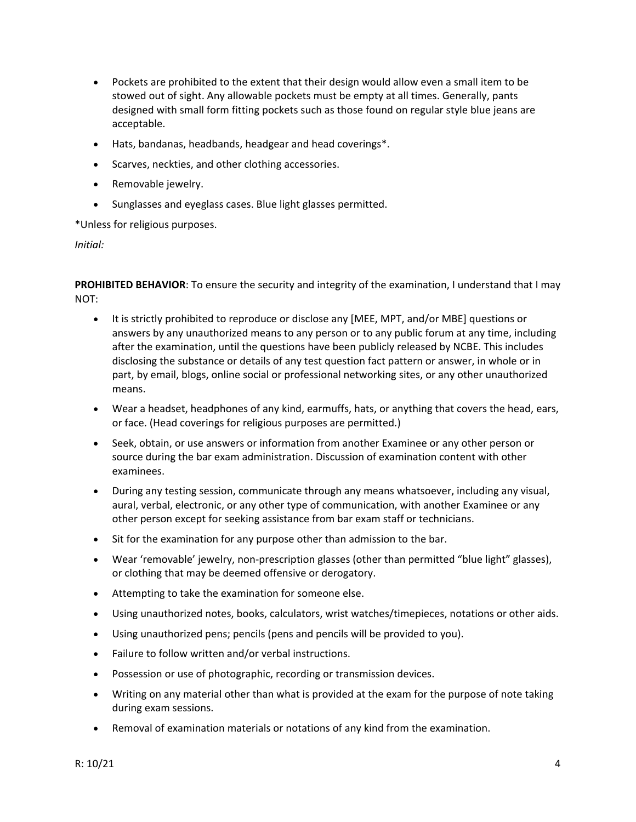- Pockets are prohibited to the extent that their design would allow even a small item to be stowed out of sight. Any allowable pockets must be empty at all times. Generally, pants designed with small form fitting pockets such as those found on regular style blue jeans are acceptable.
- Hats, bandanas, headbands, headgear and head coverings\*.
- Scarves, neckties, and other clothing accessories.
- Removable jewelry.
- Sunglasses and eyeglass cases. Blue light glasses permitted.

\*Unless for religious purposes.

*Initial:* 

**PROHIBITED BEHAVIOR**: To ensure the security and integrity of the examination, I understand that I may NOT:

- It is strictly prohibited to reproduce or disclose any [MEE, MPT, and/or MBE] questions or answers by any unauthorized means to any person or to any public forum at any time, including after the examination, until the questions have been publicly released by NCBE. This includes disclosing the substance or details of any test question fact pattern or answer, in whole or in part, by email, blogs, online social or professional networking sites, or any other unauthorized means.
- Wear a headset, headphones of any kind, earmuffs, hats, or anything that covers the head, ears, or face. (Head coverings for religious purposes are permitted.)
- Seek, obtain, or use answers or information from another Examinee or any other person or source during the bar exam administration. Discussion of examination content with other examinees.
- During any testing session, communicate through any means whatsoever, including any visual, aural, verbal, electronic, or any other type of communication, with another Examinee or any other person except for seeking assistance from bar exam staff or technicians.
- Sit for the examination for any purpose other than admission to the bar.
- Wear 'removable' jewelry, non‐prescription glasses (other than permitted "blue light" glasses), or clothing that may be deemed offensive or derogatory.
- Attempting to take the examination for someone else.
- Using unauthorized notes, books, calculators, wrist watches/timepieces, notations or other aids.
- Using unauthorized pens; pencils (pens and pencils will be provided to you).
- Failure to follow written and/or verbal instructions.
- Possession or use of photographic, recording or transmission devices.
- Writing on any material other than what is provided at the exam for the purpose of note taking during exam sessions.
- Removal of examination materials or notations of any kind from the examination.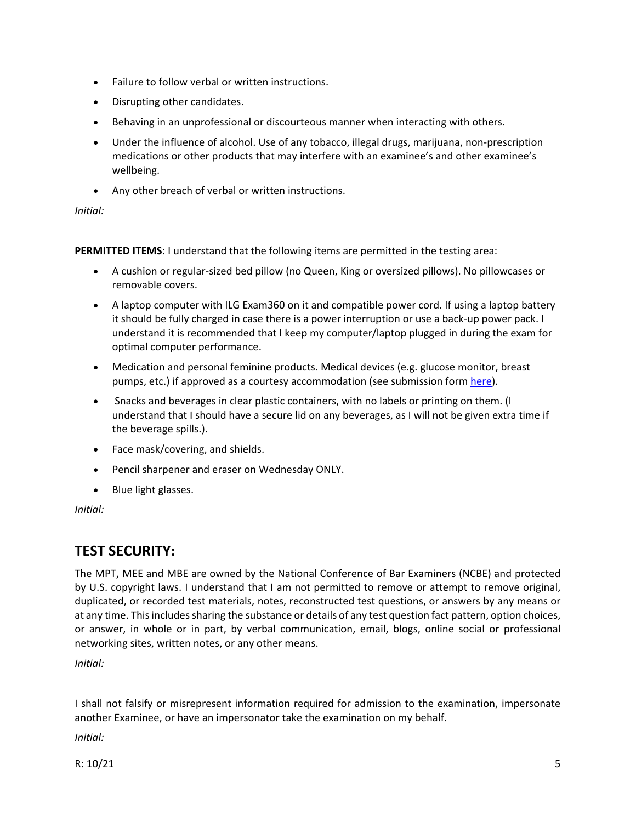- Failure to follow verbal or written instructions.
- Disrupting other candidates.
- Behaving in an unprofessional or discourteous manner when interacting with others.
- Under the influence of alcohol. Use of any tobacco, illegal drugs, marijuana, non-prescription medications or other products that may interfere with an examinee's and other examinee's wellbeing.
- Any other breach of verbal or written instructions.

#### *Initial:*

**PERMITTED ITEMS**: I understand that the following items are permitted in the testing area:

- A cushion or regular-sized bed pillow (no Queen, King or oversized pillows). No pillowcases or removable covers.
- A laptop computer with ILG Exam360 on it and compatible power cord. If using a laptop battery it should be fully charged in case there is a power interruption or use a back‐up power pack. I understand it is recommended that I keep my computer/laptop plugged in during the exam for optimal computer performance.
- Medication and personal feminine products. Medical devices (e.g. glucose monitor, breast pumps, etc.) if approved as a courtesy accommodation (see submission form here).
- Snacks and beverages in clear plastic containers, with no labels or printing on them. (I understand that I should have a secure lid on any beverages, as I will not be given extra time if the beverage spills.).
- Face mask/covering, and shields.
- Pencil sharpener and eraser on Wednesday ONLY.
- Blue light glasses.

*Initial:* 

# **TEST SECURITY:**

The MPT, MEE and MBE are owned by the National Conference of Bar Examiners (NCBE) and protected by U.S. copyright laws. I understand that I am not permitted to remove or attempt to remove original, duplicated, or recorded test materials, notes, reconstructed test questions, or answers by any means or at any time. This includes sharing the substance or details of any test question fact pattern, option choices, or answer, in whole or in part, by verbal communication, email, blogs, online social or professional networking sites, written notes, or any other means.

*Initial:* 

I shall not falsify or misrepresent information required for admission to the examination, impersonate another Examinee, or have an impersonator take the examination on my behalf.

*Initial:* 

R:  $10/21$  5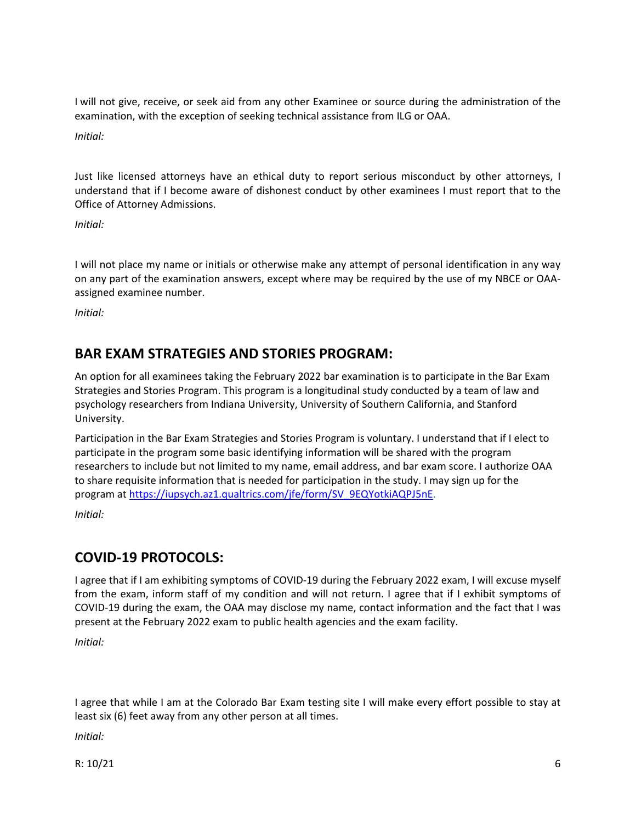I will not give, receive, or seek aid from any other Examinee or source during the administration of the examination, with the exception of seeking technical assistance from ILG or OAA.

*Initial:* 

Just like licensed attorneys have an ethical duty to report serious misconduct by other attorneys, I understand that if I become aware of dishonest conduct by other examinees I must report that to the Office of Attorney Admissions.

*Initial:* 

I will not place my name or initials or otherwise make any attempt of personal identification in any way on any part of the examination answers, except where may be required by the use of my NBCE or OAA‐ assigned examinee number.

*Initial:* 

## **BAR EXAM STRATEGIES AND STORIES PROGRAM:**

An option for all examinees taking the February 2022 bar examination is to participate in the Bar Exam Strategies and Stories Program. This program is a longitudinal study conducted by a team of law and psychology researchers from Indiana University, University of Southern California, and Stanford University.

Participation in the Bar Exam Strategies and Stories Program is voluntary. I understand that if I elect to participate in the program some basic identifying information will be shared with the program researchers to include but not limited to my name, email address, and bar exam score. I authorize OAA to share requisite information that is needed for participation in the study. I may sign up for the program at https://iupsych.az1.qualtrics.com/jfe/form/SV\_9EQYotkiAQPJ5nE.

*Initial:* 

# **COVID‐19 PROTOCOLS:**

I agree that if I am exhibiting symptoms of COVID‐19 during the February 2022 exam, I will excuse myself from the exam, inform staff of my condition and will not return. I agree that if I exhibit symptoms of COVID‐19 during the exam, the OAA may disclose my name, contact information and the fact that I was present at the February 2022 exam to public health agencies and the exam facility.

*Initial:* 

I agree that while I am at the Colorado Bar Exam testing site I will make every effort possible to stay at least six (6) feet away from any other person at all times.

*Initial:*